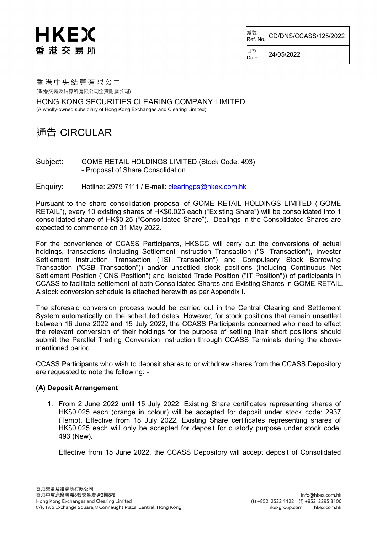# HKEX 香港交易所

<sup>編號</sup><br>Ref. No.: CD/DNS/CCASS/125/2022

日期<br>Date: Date: 24/05/2022

### 香港中央結算有限公司 (香港交易及結算所有限公司全資附屬公司)

HONG KONG SECURITIES CLEARING COMPANY LIMITED (A wholly-owned subsidiary of Hong Kong Exchanges and Clearing Limited)

# 通告 CIRCULAR

#### Subject: GOME RETAIL HOLDINGS LIMITED (Stock Code: 493) - Proposal of Share Consolidation

Enquiry: Hotline: 2979 7111 / E-mail: clearingps@hkex.com.hk

Pursuant to the share consolidation proposal of GOME RETAIL HOLDINGS LIMITED ("GOME RETAIL"), every 10 existing shares of HK\$0.025 each ("Existing Share") will be consolidated into 1 consolidated share of HK\$0.25 ("Consolidated Share"). Dealings in the Consolidated Shares are expected to commence on 31 May 2022.

For the convenience of CCASS Participants, HKSCC will carry out the conversions of actual holdings, transactions (including Settlement Instruction Transaction ("SI Transaction"), Investor Settlement Instruction Transaction ("ISI Transaction") and Compulsory Stock Borrowing Transaction ("CSB Transaction")) and/or unsettled stock positions (including Continuous Net Settlement Position ("CNS Position") and Isolated Trade Position ("IT Position")) of participants in CCASS to facilitate settlement of both Consolidated Shares and Existing Shares in GOME RETAIL. A stock conversion schedule is attached herewith as per Appendix I.

The aforesaid conversion process would be carried out in the Central Clearing and Settlement System automatically on the scheduled dates. However, for stock positions that remain unsettled between 16 June 2022 and 15 July 2022, the CCASS Participants concerned who need to effect the relevant conversion of their holdings for the purpose of settling their short positions should submit the Parallel Trading Conversion Instruction through CCASS Terminals during the abovementioned period.

CCASS Participants who wish to deposit shares to or withdraw shares from the CCASS Depository are requested to note the following: -

### **(A) Deposit Arrangement**

1. From 2 June 2022 until 15 July 2022, Existing Share certificates representing shares of HK\$0.025 each (orange in colour) will be accepted for deposit under stock code: 2937 (Temp). Effective from 18 July 2022, Existing Share certificates representing shares of HK\$0.025 each will only be accepted for deposit for custody purpose under stock code: 493 (New).

Effective from 15 June 2022, the CCASS Depository will accept deposit of Consolidated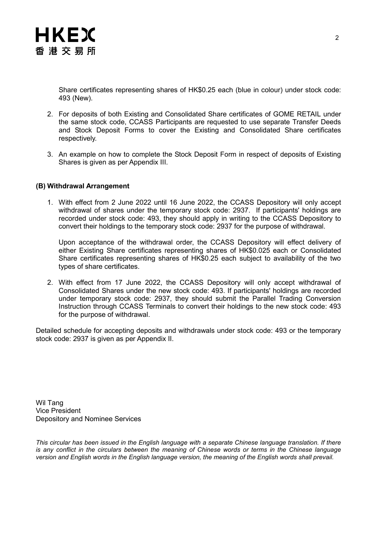

Share certificates representing shares of HK\$0.25 each (blue in colour) under stock code: 493 (New).

- 2. For deposits of both Existing and Consolidated Share certificates of GOME RETAIL under the same stock code, CCASS Participants are requested to use separate Transfer Deeds and Stock Deposit Forms to cover the Existing and Consolidated Share certificates respectively.
- 3. An example on how to complete the Stock Deposit Form in respect of deposits of Existing Shares is given as per Appendix III.

#### **(B) Withdrawal Arrangement**

1. With effect from 2 June 2022 until 16 June 2022, the CCASS Depository will only accept withdrawal of shares under the temporary stock code: 2937. If participants' holdings are recorded under stock code: 493, they should apply in writing to the CCASS Depository to convert their holdings to the temporary stock code: 2937 for the purpose of withdrawal.

Upon acceptance of the withdrawal order, the CCASS Depository will effect delivery of either Existing Share certificates representing shares of HK\$0.025 each or Consolidated Share certificates representing shares of HK\$0.25 each subject to availability of the two types of share certificates.

2. With effect from 17 June 2022, the CCASS Depository will only accept withdrawal of Consolidated Shares under the new stock code: 493. If participants' holdings are recorded under temporary stock code: 2937, they should submit the Parallel Trading Conversion Instruction through CCASS Terminals to convert their holdings to the new stock code: 493 for the purpose of withdrawal.

Detailed schedule for accepting deposits and withdrawals under stock code: 493 or the temporary stock code: 2937 is given as per Appendix II.

Wil Tang Vice President Depository and Nominee Services

*This circular has been issued in the English language with a separate Chinese language translation. If there is any conflict in the circulars between the meaning of Chinese words or terms in the Chinese language version and English words in the English language version, the meaning of the English words shall prevail.*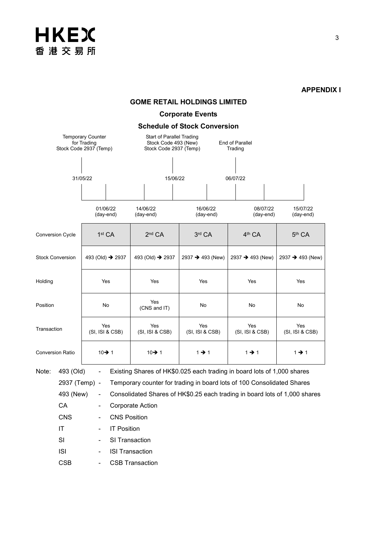# **HKEX** 香港交易所

**APPENDIX I**

# **GOME RETAIL HOLDINGS LIMITED**

## **Corporate Events**

**Schedule of Stock Conversion**

|                         | Stock Code 2937 (Temp)                                                  | <b>Temporary Counter</b><br>for Trading |                                                                                        |  | Start of Parallel Trading<br>Stock Code 493 (New)<br>Stock Code 2937 (Temp) |                       |                   | End of Parallel<br>Trading                                                                                                                        |                       |                                                                            |
|-------------------------|-------------------------------------------------------------------------|-----------------------------------------|----------------------------------------------------------------------------------------|--|-----------------------------------------------------------------------------|-----------------------|-------------------|---------------------------------------------------------------------------------------------------------------------------------------------------|-----------------------|----------------------------------------------------------------------------|
| 31/05/22                |                                                                         |                                         | 15/06/22                                                                               |  |                                                                             | 06/07/22              |                   |                                                                                                                                                   |                       |                                                                            |
|                         |                                                                         |                                         |                                                                                        |  |                                                                             |                       |                   |                                                                                                                                                   |                       |                                                                            |
|                         |                                                                         |                                         | 01/06/22<br>(day-end)                                                                  |  | 14/06/22<br>(day-end)                                                       | 16/06/22<br>(day-end) |                   |                                                                                                                                                   | 08/07/22<br>(day-end) | 15/07/22<br>(day-end)                                                      |
| <b>Conversion Cycle</b> |                                                                         |                                         | 1 <sup>st</sup> CA                                                                     |  | 2 <sup>nd</sup> CA                                                          | 3rd CA                |                   | 4 <sup>th</sup> CA                                                                                                                                |                       | 5 <sup>th</sup> CA                                                         |
| <b>Stock Conversion</b> |                                                                         |                                         | 493 (Old) → 2937                                                                       |  | 493 (Old) → 2937                                                            | 2937 → 493 (New)      |                   | 2937 → 493 (New)                                                                                                                                  |                       | 2937 → 493 (New)                                                           |
| Holding                 |                                                                         |                                         | Yes                                                                                    |  | Yes                                                                         |                       | Yes               |                                                                                                                                                   |                       | Yes                                                                        |
| Position                |                                                                         |                                         | No                                                                                     |  | Yes<br>(CNS and IT)                                                         |                       | No                | No                                                                                                                                                |                       | No                                                                         |
| Transaction             |                                                                         |                                         | Yes<br>(SI, ISI & CSB)                                                                 |  | Yes<br>Yes<br>(SI, ISI & CSB)<br>(SI, ISI & CSB)                            |                       |                   | Yes<br>(SI, ISI & CSB)                                                                                                                            |                       | Yes<br>(SI, ISI & CSB)                                                     |
| <b>Conversion Ratio</b> |                                                                         |                                         | 10→ 1                                                                                  |  | 10→1                                                                        |                       | $1 \rightarrow 1$ |                                                                                                                                                   |                       | $1 \rightarrow 1$                                                          |
| Note:                   | 493 (Old)<br>2937 (Temp) -<br>493 (New)<br>CA<br><b>CNS</b><br>IT<br>SI | $\qquad \qquad \blacksquare$            | <b>Corporate Action</b><br><b>CNS Position</b><br><b>IT Position</b><br>SI Transaction |  |                                                                             |                       |                   | Existing Shares of HK\$0.025 each trading in board lots of 1,000 shares<br>Temporary counter for trading in board lots of 100 Consolidated Shares |                       | Consolidated Shares of HK\$0.25 each trading in board lots of 1,000 shares |
|                         | <b>ISI</b><br><b>CSB</b>                                                |                                         | <b>ISI Transaction</b><br><b>CSB Transaction</b>                                       |  |                                                                             |                       |                   |                                                                                                                                                   |                       |                                                                            |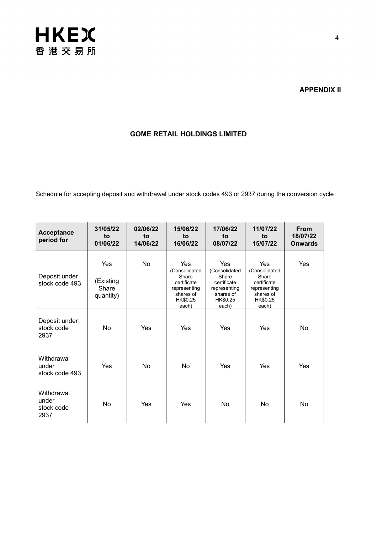

### **APPENDIX II**

### **GOME RETAIL HOLDINGS LIMITED**

Schedule for accepting deposit and withdrawal under stock codes 493 or 2937 during the conversion cycle

| <b>Acceptance</b><br>period for           | 31/05/22<br>to<br>01/06/22             | 02/06/22<br>to<br>14/06/22 | 15/06/22<br>to<br>16/06/22                                                                     | 17/06/22<br>to<br>08/07/22                                                                     | 11/07/22<br>to<br>15/07/22                                                                            | <b>From</b><br>18/07/22<br><b>Onwards</b> |
|-------------------------------------------|----------------------------------------|----------------------------|------------------------------------------------------------------------------------------------|------------------------------------------------------------------------------------------------|-------------------------------------------------------------------------------------------------------|-------------------------------------------|
| Deposit under<br>stock code 493           | Yes<br>(Existing<br>Share<br>quantity) | No                         | Yes<br>(Consolidated<br>Share<br>certificate<br>representing<br>shares of<br>HK\$0.25<br>each) | Yes<br>(Consolidated<br>Share<br>certificate<br>representing<br>shares of<br>HK\$0.25<br>each) | <b>Yes</b><br>(Consolidated<br>Share<br>certificate<br>representing<br>shares of<br>HK\$0.25<br>each) | Yes                                       |
| Deposit under<br>stock code<br>2937       | N <sub>0</sub>                         | Yes                        | Yes                                                                                            | Yes                                                                                            | Yes                                                                                                   | <b>No</b>                                 |
| Withdrawal<br>under<br>stock code 493     | Yes                                    | No                         | <b>No</b>                                                                                      | Yes                                                                                            | Yes                                                                                                   | Yes                                       |
| Withdrawal<br>under<br>stock code<br>2937 | <b>No</b>                              | Yes                        | Yes                                                                                            | No                                                                                             | <b>No</b>                                                                                             | <b>No</b>                                 |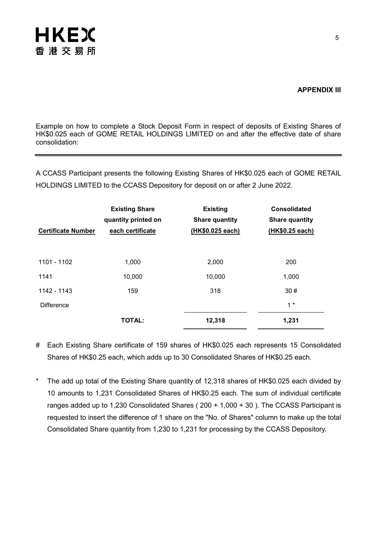

### **APPENDIX III**

Example on how to complete a Stock Deposit Form in respect of deposits of Existing Shares of HK\$0.025 each of GOME RETAIL HOLDINGS LIMITED on and after the effective date of share consolidation:

A CCASS Participant presents the following Existing Shares of HK\$0.025 each of GOME RETAIL HOLDINGS LIMITED to the CCASS Depository for deposit on or after 2 June 2022.

| <b>Certificate Number</b> | <b>Existing Share</b><br>quantity printed on<br>each certificate | <b>Existing</b><br><b>Share quantity</b><br>(HK\$0.025 each) | <b>Consolidated</b><br><b>Share quantity</b><br>(HK\$0.25 each) |
|---------------------------|------------------------------------------------------------------|--------------------------------------------------------------|-----------------------------------------------------------------|
| 1101 - 1102               | 1,000                                                            | 2,000                                                        | 200                                                             |
| 1141                      | 10,000                                                           | 10,000                                                       | 1,000                                                           |
| 1142 - 1143               | 159                                                              | 318                                                          | 30#                                                             |
| <b>Difference</b>         |                                                                  |                                                              | $1*$                                                            |
|                           | <b>TOTAL:</b>                                                    | 12,318                                                       | 1,231                                                           |

- # Each Existing Share certificate of 159 shares of HK\$0.025 each represents 15 Consolidated Shares of HK\$0.25 each, which adds up to 30 Consolidated Shares of HK\$0.25 each.
- \* The add up total of the Existing Share quantity of 12,318 shares of HK\$0.025 each divided by 10 amounts to 1,231 Consolidated Shares of HK\$0.25 each. The sum of individual certificate ranges added up to 1,230 Consolidated Shares ( 200 + 1,000 + 30 ). The CCASS Participant is requested to insert the difference of 1 share on the "No. of Shares" column to make up the total Consolidated Share quantity from 1,230 to 1,231 for processing by the CCASS Depository.